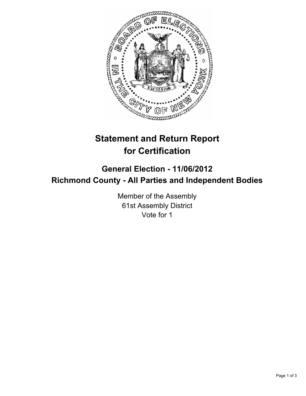

## **Statement and Return Report for Certification**

## **General Election - 11/06/2012 Richmond County - All Parties and Independent Bodies**

Member of the Assembly 61st Assembly District Vote for 1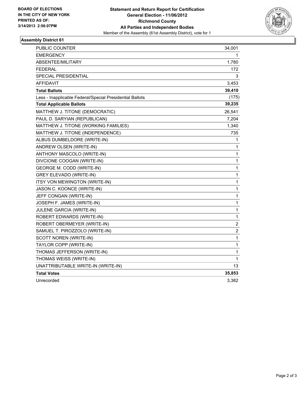

## **Assembly District 61**

| PUBLIC COUNTER                                           | 34,001           |
|----------------------------------------------------------|------------------|
| EMERGENCY                                                | 1                |
| ABSENTEE/MILITARY                                        | 1,780            |
| <b>FEDERAL</b>                                           | 172              |
| SPECIAL PRESIDENTIAL                                     | 3                |
| AFFIDAVIT                                                | 3,453            |
| <b>Total Ballots</b>                                     | 39,410           |
| Less - Inapplicable Federal/Special Presidential Ballots | (175)            |
| <b>Total Applicable Ballots</b>                          | 39,235           |
| MATTHEW J. TITONE (DEMOCRATIC)                           | 26,541           |
| PAUL D. SARYIAN (REPUBLICAN)                             | 7,204            |
| MATTHEW J. TITONE (WORKING FAMILIES)                     | 1,340            |
| MATTHEW J. TITONE (INDEPENDENCE)                         | 735              |
| ALBUS DUMBELDORE (WRITE-IN)                              | 1                |
| ANDREW OLSEN (WRITE-IN)                                  | 1                |
| ANTHONY MASCOLO (WRITE-IN)                               | $\mathbf{1}$     |
| DIVCIONE COOGAN (WRITE-IN)                               | 1                |
| GEORGE M. CODD (WRITE-IN)                                | 1                |
| <b>GREY ELEVADO (WRITE-IN)</b>                           | 1                |
| <b>ITSY VON MEWINGTON (WRITE-IN)</b>                     | $\mathbf{1}$     |
| JASON C. KOONCE (WRITE-IN)                               | $\mathbf{1}$     |
| JEFF CONGAN (WRITE-IN)                                   | $\mathbf{1}$     |
| JOSEPH F. JAMES (WRITE-IN)                               | 1                |
| JULENE GARCIA (WRITE-IN)                                 | 1                |
| ROBERT EDWARDS (WRITE-IN)                                | 1                |
| ROBERT OBERMEYER (WRITE-IN)                              | 2                |
| SAMUEL T. PIROZZOLO (WRITE-IN)                           | $\boldsymbol{2}$ |
| SCOTT NOREN (WRITE-IN)                                   | $\mathbf{1}$     |
| TAYLOR COPP (WRITE-IN)                                   | 1                |
| THOMAS JEFFERSON (WRITE-IN)                              | 1                |
| THOMAS WEISS (WRITE-IN)                                  | $\mathbf 1$      |
| UNATTRIBUTABLE WRITE-IN (WRITE-IN)                       | 13               |
| <b>Total Votes</b>                                       | 35,853           |
| Unrecorded                                               | 3,382            |